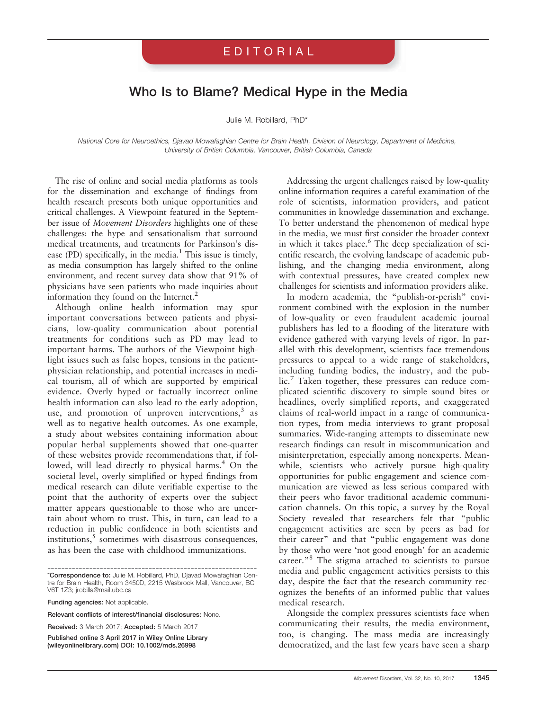#### EDITORIAL

## Who Is to Blame? Medical Hype in the Media

Julie M. Robillard, PhD\*

National Core for Neuroethics, Djavad Mowafaghian Centre for Brain Health, Division of Neurology, Department of Medicine, University of British Columbia, Vancouver, British Columbia, Canada

The rise of online and social media platforms as tools for the dissemination and exchange of findings from health research presents both unique opportunities and critical challenges. A Viewpoint featured in the September issue of Movement Disorders highlights one of these challenges: the hype and sensationalism that surround medical treatments, and treatments for Parkinson's disease (PD) specifically, in the media.<sup>1</sup> This issue is timely, as media consumption has largely shifted to the online environment, and recent survey data show that 91% of physicians have seen patients who made inquiries about information they found on the Internet.<sup>2</sup>

Although online health information may spur important conversations between patients and physicians, low-quality communication about potential treatments for conditions such as PD may lead to important harms. The authors of the Viewpoint highlight issues such as false hopes, tensions in the patientphysician relationship, and potential increases in medical tourism, all of which are supported by empirical evidence. Overly hyped or factually incorrect online health information can also lead to the early adoption, use, and promotion of unproven interventions, $3$  as well as to negative health outcomes. As one example, a study about websites containing information about popular herbal supplements showed that one-quarter of these websites provide recommendations that, if followed, will lead directly to physical harms.<sup>4</sup> On the societal level, overly simplified or hyped findings from medical research can dilute verifiable expertise to the point that the authority of experts over the subject matter appears questionable to those who are uncertain about whom to trust. This, in turn, can lead to a reduction in public confidence in both scientists and institutions,<sup>5</sup> sometimes with disastrous consequences, as has been the case with childhood immunizations.

Funding agencies: Not applicable.

Relevant conflicts of interest/financial disclosures: None.

Received: 3 March 2017; Accepted: 5 March 2017

Published online 3 April 2017 in Wiley Online Library (wileyonlinelibrary.com) DOI: 10.1002/mds.26998

Addressing the urgent challenges raised by low-quality online information requires a careful examination of the role of scientists, information providers, and patient communities in knowledge dissemination and exchange. To better understand the phenomenon of medical hype in the media, we must first consider the broader context in which it takes place.<sup>6</sup> The deep specialization of scientific research, the evolving landscape of academic publishing, and the changing media environment, along with contextual pressures, have created complex new challenges for scientists and information providers alike.

In modern academia, the "publish-or-perish" environment combined with the explosion in the number of low-quality or even fraudulent academic journal publishers has led to a flooding of the literature with evidence gathered with varying levels of rigor. In parallel with this development, scientists face tremendous pressures to appeal to a wide range of stakeholders, including funding bodies, the industry, and the pub- $\mathrm{lic}^7$  Taken together, these pressures can reduce complicated scientific discovery to simple sound bites or headlines, overly simplified reports, and exaggerated claims of real-world impact in a range of communication types, from media interviews to grant proposal summaries. Wide-ranging attempts to disseminate new research findings can result in miscommunication and misinterpretation, especially among nonexperts. Meanwhile, scientists who actively pursue high-quality opportunities for public engagement and science communication are viewed as less serious compared with their peers who favor traditional academic communication channels. On this topic, a survey by the Royal Society revealed that researchers felt that "public engagement activities are seen by peers as bad for their career" and that "public engagement was done by those who were 'not good enough' for an academic career."<sup>8</sup> The stigma attached to scientists to pursue media and public engagement activities persists to this day, despite the fact that the research community recognizes the benefits of an informed public that values medical research.

Alongside the complex pressures scientists face when communicating their results, the media environment, too, is changing. The mass media are increasingly democratized, and the last few years have seen a sharp

<sup>------------------------------------------------------------</sup> \*Correspondence to: Julie M. Robillard, PhD, Djavad Mowafaghian Centre for Brain Health, Room 3450D, 2215 Wesbrook Mall, Vancouver, BC V6T 173; irobilla@mail.ubc.ca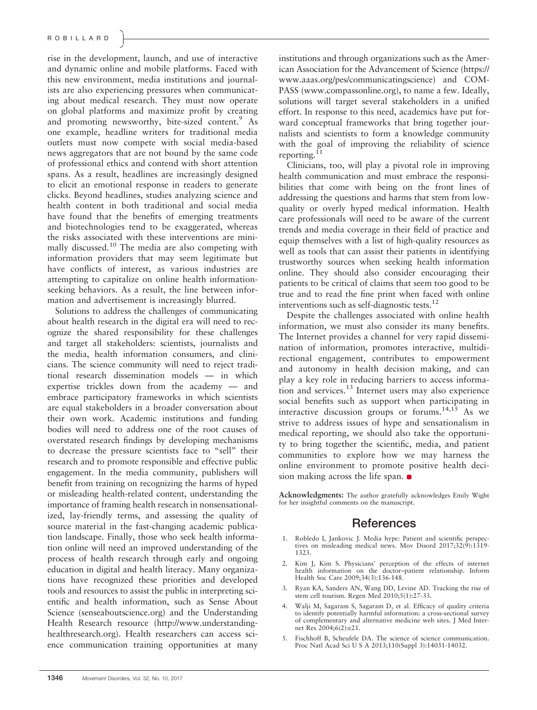rise in the development, launch, and use of interactive and dynamic online and mobile platforms. Faced with this new environment, media institutions and journalists are also experiencing pressures when communicating about medical research. They must now operate on global platforms and maximize profit by creating and promoting newsworthy, bite-sized content.<sup>9</sup> As one example, headline writers for traditional media outlets must now compete with social media-based news aggregators that are not bound by the same code of professional ethics and contend with short attention spans. As a result, headlines are increasingly designed to elicit an emotional response in readers to generate clicks. Beyond headlines, studies analyzing science and health content in both traditional and social media have found that the benefits of emerging treatments and biotechnologies tend to be exaggerated, whereas the risks associated with these interventions are minimally discussed.<sup>10</sup> The media are also competing with information providers that may seem legitimate but have conflicts of interest, as various industries are attempting to capitalize on online health informationseeking behaviors. As a result, the line between information and advertisement is increasingly blurred.

Solutions to address the challenges of communicating about health research in the digital era will need to recognize the shared responsibility for these challenges and target all stakeholders: scientists, journalists and the media, health information consumers, and clinicians. The science community will need to reject traditional research dissemination models — in which expertise trickles down from the academy — and embrace participatory frameworks in which scientists are equal stakeholders in a broader conversation about their own work. Academic institutions and funding bodies will need to address one of the root causes of overstated research findings by developing mechanisms to decrease the pressure scientists face to "sell" their research and to promote responsible and effective public engagement. In the media community, publishers will benefit from training on recognizing the harms of hyped or misleading health-related content, understanding the importance of framing health research in nonsensationalized, lay-friendly terms, and assessing the quality of source material in the fast-changing academic publication landscape. Finally, those who seek health information online will need an improved understanding of the process of health research through early and ongoing education in digital and health literacy. Many organizations have recognized these priorities and developed tools and resources to assist the public in interpreting scientific and health information, such as Sense About Science ([senseaboutscience.org](http://senseaboutscience.org)) and the Understanding Health Research resource ([http://www.understanding](http://www.understandinghealthresearch.org)[healthresearch.org\)](http://www.understandinghealthresearch.org). Health researchers can access science communication training opportunities at many

institutions and through organizations such as the American Association for the Advancement of Science ([https://](https://www.aaas.org/pes/communicatingscience) [www.aaas.org/pes/communicatingscience](https://www.aaas.org/pes/communicatingscience)) and COM-PASS ([www.compassonline.org](http://www.compassonline.org)), to name a few. Ideally, solutions will target several stakeholders in a unified effort. In response to this need, academics have put forward conceptual frameworks that bring together journalists and scientists to form a knowledge community with the goal of improving the reliability of science reporting. $11$ 

Clinicians, too, will play a pivotal role in improving health communication and must embrace the responsibilities that come with being on the front lines of addressing the questions and harms that stem from lowquality or overly hyped medical information. Health care professionals will need to be aware of the current trends and media coverage in their field of practice and equip themselves with a list of high-quality resources as well as tools that can assist their patients in identifying trustworthy sources when seeking health information online. They should also consider encouraging their patients to be critical of claims that seem too good to be true and to read the fine print when faced with online interventions such as self-diagnostic tests.12

Despite the challenges associated with online health information, we must also consider its many benefits. The Internet provides a channel for very rapid dissemination of information, promotes interactive, multidirectional engagement, contributes to empowerment and autonomy in health decision making, and can play a key role in reducing barriers to access information and services.<sup>13</sup> Internet users may also experience social benefits such as support when participating in interactive discussion groups or forums.<sup>14,15</sup> As we strive to address issues of hype and sensationalism in medical reporting, we should also take the opportunity to bring together the scientific, media, and patient communities to explore how we may harness the online environment to promote positive health decision making across the life span.  $\bullet$ 

Acknowledgments: The author gratefully acknowledges Emily Wight for her insightful comments on the manuscript.

#### **References**

- 1. Robledo I, Jankovic J. Media hype: Patient and scientific perspectives on misleading medical news. Mov Disord 2017;32(9):1319- 1323.
- 2. Kim J, Kim S. Physicians' perception of the effects of internet health information on the doctor–patient relationship. Inform Health Soc Care 2009;34(3):136-148.
- 3. Ryan KA, Sanders AN, Wang DD, Levine AD. Tracking the rise of stem cell tourism. Regen Med 2010;5(1):27-33.
- Walji M, Sagaram S, Sagaram D, et al. Efficacy of quality criteria to identify potentially harmful information: a cross-sectional survey of complementary and alternative medicine web sites. J Med Internet Res 2004;6(2):e21.
- 5. Fischhoff B, Scheufele DA. The science of science communication. Proc Natl Acad Sci U S A 2013;110(Suppl 3):14031-14032.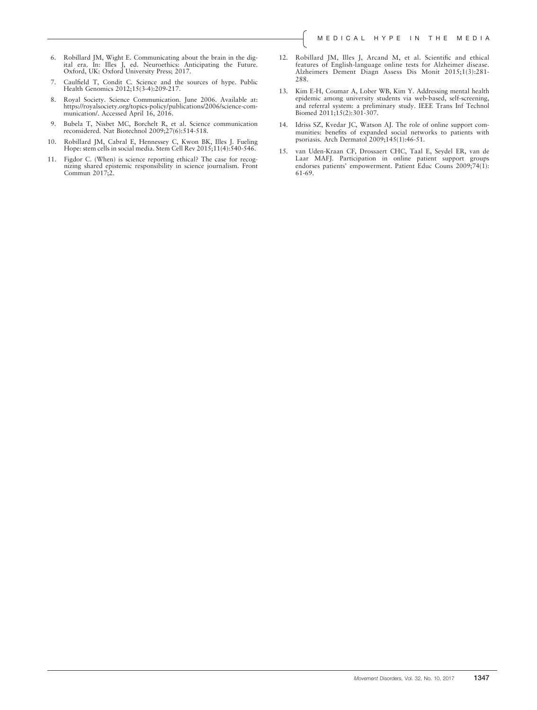- 6. Robillard JM, Wight E. Communicating about the brain in the dig-ital era. In: Illes J, ed. Neuroethics: Anticipating the Future. Oxford, UK: Oxford University Press; 2017.
- 7. Caulfield T, Condit C. Science and the sources of hype. Public Health Genomics 2012;15(3-4):209-217.
- 8. Royal Society. Science Communication. June 2006. Available at: [https://royalsociety.org/topics-policy/publications/2006/science-com-](https://royalsociety.org/topics-policy/publications/2006/science-communication/)[munication/](https://royalsociety.org/topics-policy/publications/2006/science-communication/). Accessed April 16, 2016.
- 9. Bubela T, Nisbet MC, Borchelt R, et al. Science communication reconsidered. Nat Biotechnol 2009;27(6):514-518.
- 10. Robillard JM, Cabral E, Hennessey C, Kwon BK, Illes J. Fueling Hope: stem cells in social media. Stem Cell Rev 2015;11(4):540-546.
- 11. Figdor C. (When) is science reporting ethical? The case for recog-nizing shared epistemic responsibility in science journalism. Front Commun 2017;2.
- 12. Robillard JM, Illes J, Arcand M, et al. Scientific and ethical features of English-language online tests for Alzheimer disease. Alzheimers Dement Diagn Assess Dis Monit 2015;1(3):281- 288.
- 13. Kim E-H, Coumar A, Lober WB, Kim Y. Addressing mental health epidemic among university students via web-based, self-screening, and referral system: a preliminary study. IEEE Trans Inf Technol Biomed 2011;15(2):301-307.
- 14. Idriss SZ, Kvedar JC, Watson AJ. The role of online support communities: benefits of expanded social networks to patients with psoriasis. Arch Dermatol 2009;145(1):46-51.
- 15. van Uden-Kraan CF, Drossaert CHC, Taal E, Seydel ER, van de Laar MAFJ. Participation in online patient support groups endorses patients' empowerment. Patient Educ Couns 2009;74(1): 61-69.